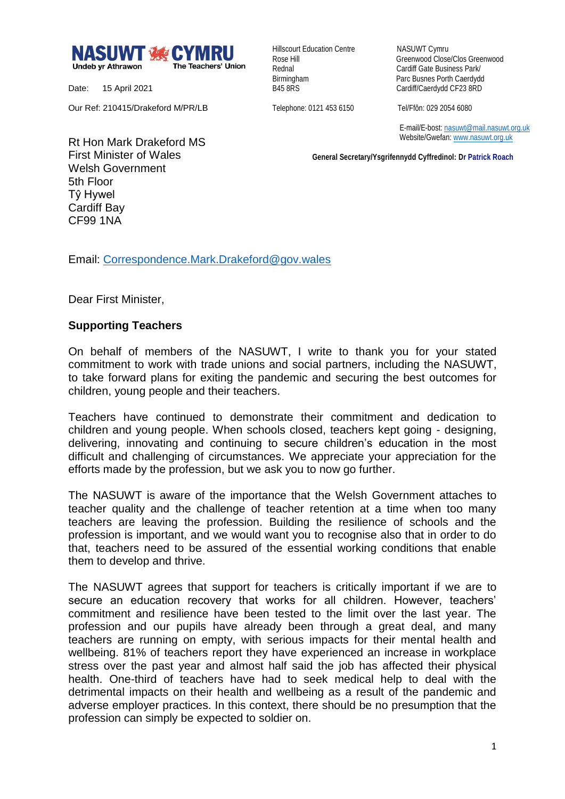

Date: 15 April 2021

Our Ref: 210415/Drakeford M/PR/LB

Hillscourt Education Centre NASUWT Cymru

Rose Hill Greenwood Close/Clos Greenwood Rednal **Cardiff Gate Business Park/** Birmingham Parc Busnes Porth Caerdydd<br>
B45 8RS<br>
Cardiff/Caerdydd CF23 8RD Cardiff/Caerdydd CF23 8RD

Telephone: 0121 453 6150 Tel/Ffôn: 029 2054 6080

 E-mail/E-bost[: nasuwt@mail.nasuwt.org.uk](mailto:nasuwt@mail.nasuwt.org.uk) Website/Gwefan: [www.nasuwt.org.uk](http://www.nasuwt.org.uk/)

 **General Secretary/Ysgrifennydd Cyffredinol: Dr Patrick Roach**

Rt Hon Mark Drakeford MS First Minister of Wales Welsh Government 5th Floor Tŷ Hywel Cardiff Bay CF99 1NA

Email: [Correspondence.Mark.Drakeford@gov.wales](mailto:Correspondence.Mark.Drakeford@gov.wales)

Dear First Minister,

## **Supporting Teachers**

On behalf of members of the NASUWT, I write to thank you for your stated commitment to work with trade unions and social partners, including the NASUWT, to take forward plans for exiting the pandemic and securing the best outcomes for children, young people and their teachers.

Teachers have continued to demonstrate their commitment and dedication to children and young people. When schools closed, teachers kept going - designing, delivering, innovating and continuing to secure children's education in the most difficult and challenging of circumstances. We appreciate your appreciation for the efforts made by the profession, but we ask you to now go further.

The NASUWT is aware of the importance that the Welsh Government attaches to teacher quality and the challenge of teacher retention at a time when too many teachers are leaving the profession. Building the resilience of schools and the profession is important, and we would want you to recognise also that in order to do that, teachers need to be assured of the essential working conditions that enable them to develop and thrive.

The NASUWT agrees that support for teachers is critically important if we are to secure an education recovery that works for all children. However, teachers' commitment and resilience have been tested to the limit over the last year. The profession and our pupils have already been through a great deal, and many teachers are running on empty, with serious impacts for their mental health and wellbeing. 81% of teachers report they have experienced an increase in workplace stress over the past year and almost half said the job has affected their physical health. One-third of teachers have had to seek medical help to deal with the detrimental impacts on their health and wellbeing as a result of the pandemic and adverse employer practices. In this context, there should be no presumption that the profession can simply be expected to soldier on.